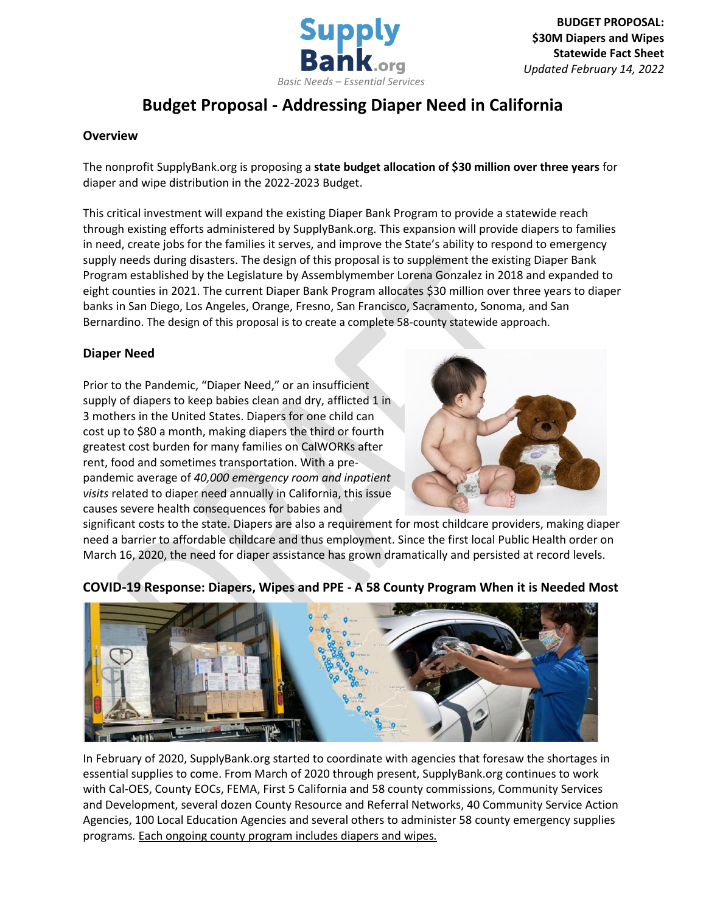

# **Budget Proposal - Addressing Diaper Need in California**

## **Overview**

The nonprofit SupplyBank.org is proposing a **state budget allocation of \$30 million over three years** for diaper and wipe distribution in the 2022-2023 Budget.

This critical investment will expand the existing Diaper Bank Program to provide a statewide reach through existing efforts administered by SupplyBank.org. This expansion will provide diapers to families in need, create jobs for the families it serves, and improve the State's ability to respond to emergency supply needs during disasters. The design of this proposal is to supplement the existing Diaper Bank Program established by the Legislature by Assemblymember Lorena Gonzalez in 2018 and expanded to eight counties in 2021. The current Diaper Bank Program allocates \$30 million over three years to diaper banks in San Diego, Los Angeles, Orange, Fresno, San Francisco, Sacramento, Sonoma, and San Bernardino. The design of this proposal is to create a complete 58-county statewide approach.

# **Diaper Need**

Prior to the Pandemic, "Diaper Need," or an insufficient supply of diapers to keep babies clean and dry, afflicted 1 in 3 mothers in the United States. Diapers for one child can cost up to \$80 a month, making diapers the third or fourth greatest cost burden for many families on CalWORKs after rent, food and sometimes transportation. With a prepandemic average of *40,000 emergency room and inpatient visits* related to diaper need annually in California, this issue causes severe health consequences for babies and



significant costs to the state. Diapers are also a requirement for most childcare providers, making diaper need a barrier to affordable childcare and thus employment. Since the first local Public Health order on March 16, 2020, the need for diaper assistance has grown dramatically and persisted at record levels.



# **COVID-19 Response: Diapers, Wipes and PPE - A 58 County Program When it is Needed Most**

In February of 2020, SupplyBank.org started to coordinate with agencies that foresaw the shortages in essential supplies to come. From March of 2020 through present, SupplyBank.org continues to work with Cal-OES, County EOCs, FEMA, First 5 California and 58 county commissions, Community Services and Development, several dozen County Resource and Referral Networks, 40 Community Service Action Agencies, 100 Local Education Agencies and several others to administer 58 county emergency supplies programs*.* Each ongoing county program includes diapers and wipes*.*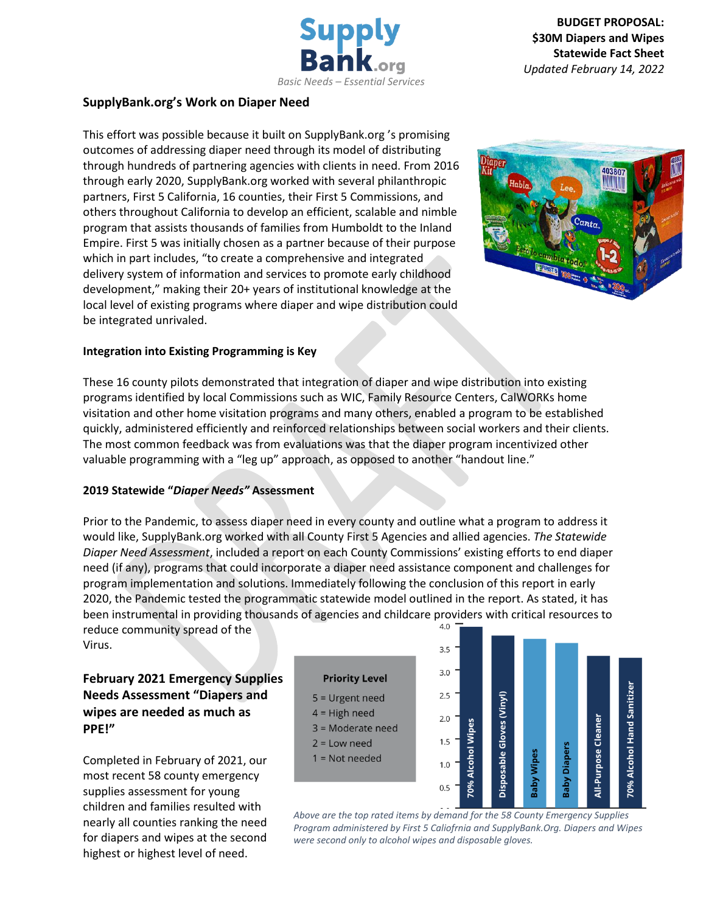

# **SupplyBank.org's Work on Diaper Need**

This effort was possible because it built on SupplyBank.org 's promising outcomes of addressing diaper need through its model of distributing through hundreds of partnering agencies with clients in need. From 2016 through early 2020, SupplyBank.org worked with several philanthropic partners, First 5 California, 16 counties, their First 5 Commissions, and others throughout California to develop an efficient, scalable and nimble program that assists thousands of families from Humboldt to the Inland Empire. First 5 was initially chosen as a partner because of their purpose which in part includes, "to create a comprehensive and integrated delivery system of information and services to promote early childhood development," making their 20+ years of institutional knowledge at the local level of existing programs where diaper and wipe distribution could be integrated unrivaled.



#### **Integration into Existing Programming is Key**

These 16 county pilots demonstrated that integration of diaper and wipe distribution into existing programs identified by local Commissions such as WIC, Family Resource Centers, CalWORKs home visitation and other home visitation programs and many others, enabled a program to be established quickly, administered efficiently and reinforced relationships between social workers and their clients. The most common feedback was from evaluations was that the diaper program incentivized other valuable programming with a "leg up" approach, as opposed to another "handout line."

#### **2019 Statewide "***Diaper Needs"* **Assessment**

Prior to the Pandemic, to assess diaper need in every county and outline what a program to address it would like, SupplyBank.org worked with all County First 5 Agencies and allied agencies. *The Statewide Diaper Need Assessment*, included a report on each County Commissions' existing efforts to end diaper need (if any), programs that could incorporate a diaper need assistance component and challenges for program implementation and solutions. Immediately following the conclusion of this report in early 2020, the Pandemic tested the programmatic statewide model outlined in the report. As stated, it has been instrumental in providing thousands of agencies and childcare providers with critical resources to reduce community spread of the

reduce community spread of the Virus.

**February 2021 Emergency Supplies Needs Assessment "Diapers and wipes are needed as much as PPE!"**

Completed in February of 2021, our most recent 58 county emergency supplies assessment for young children and families resulted with nearly all counties ranking the need for diapers and wipes at the second highest or highest level of need.

#### **Priority Level**

- $5 =$  Urgent need
- $4 =$  High need
- 3 = Moderate need
- $2 = Low need$
- $1 = Not needed$



*Above are the top rated items by demand for the 58 County Emergency Supplies Program administered by First 5 Caliofrnia and SupplyBank.Org. Diapers and Wipes were second only to alcohol wipes and disposable gloves.*